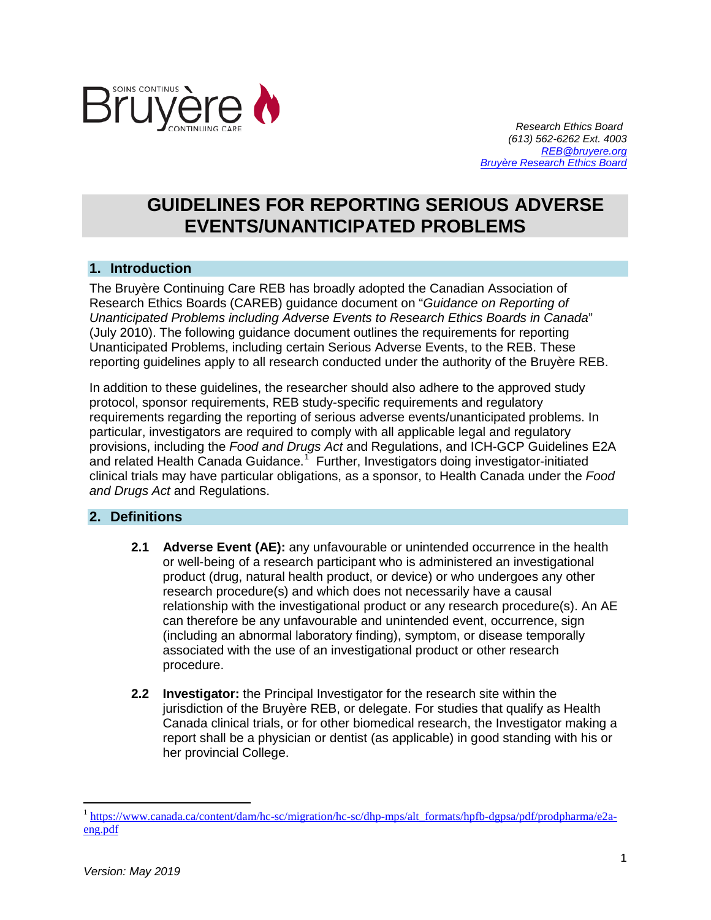

 *Research Ethics Board (613) 562-6262 Ext. 4003 [REB@bruyere.org](mailto:REB@bruyere.org) [Bruyère Research Ethics Board](https://www.bruyere.org/en/researchethicsboard)*

# **GUIDELINES FOR REPORTING SERIOUS ADVERSE EVENTS/UNANTICIPATED PROBLEMS**

# **1. Introduction**

The Bruyère Continuing Care REB has broadly adopted the Canadian Association of Research Ethics Boards (CAREB) guidance document on "*Guidance on Reporting of Unanticipated Problems including Adverse Events to Research Ethics Boards in Canada*" (July 2010). The following guidance document outlines the requirements for reporting Unanticipated Problems, including certain Serious Adverse Events, to the REB. These reporting guidelines apply to all research conducted under the authority of the Bruyère REB.

In addition to these guidelines, the researcher should also adhere to the approved study protocol, sponsor requirements, REB study-specific requirements and regulatory requirements regarding the reporting of serious adverse events/unanticipated problems. In particular, investigators are required to comply with all applicable legal and regulatory provisions, including the *Food and Drugs Act* and Regulations, and ICH-GCP Guidelines E2A and related Health Canada Guidance.<sup>[1](#page-0-0)</sup> Further, Investigators doing investigator-initiated clinical trials may have particular obligations, as a sponsor, to Health Canada under the *Food and Drugs Act* and Regulations.

## **2. Definitions**

- **2.1 Adverse Event (AE):** any unfavourable or unintended occurrence in the health or well-being of a research participant who is administered an investigational product (drug, natural health product, or device) or who undergoes any other research procedure(s) and which does not necessarily have a causal relationship with the investigational product or any research procedure(s). An AE can therefore be any unfavourable and unintended event, occurrence, sign (including an abnormal laboratory finding), symptom, or disease temporally associated with the use of an investigational product or other research procedure.
- **2.2 Investigator:** the Principal Investigator for the research site within the jurisdiction of the Bruyère REB, or delegate. For studies that qualify as Health Canada clinical trials, or for other biomedical research, the Investigator making a report shall be a physician or dentist (as applicable) in good standing with his or her provincial College.

 $\overline{a}$ 

<span id="page-0-0"></span><sup>&</sup>lt;sup>1</sup> [https://www.canada.ca/content/dam/hc-sc/migration/hc-sc/dhp-mps/alt\\_formats/hpfb-dgpsa/pdf/prodpharma/e2a](https://www.canada.ca/content/dam/hc-sc/migration/hc-sc/dhp-mps/alt_formats/hpfb-dgpsa/pdf/prodpharma/e2a-eng.pdf)[eng.pdf](https://www.canada.ca/content/dam/hc-sc/migration/hc-sc/dhp-mps/alt_formats/hpfb-dgpsa/pdf/prodpharma/e2a-eng.pdf)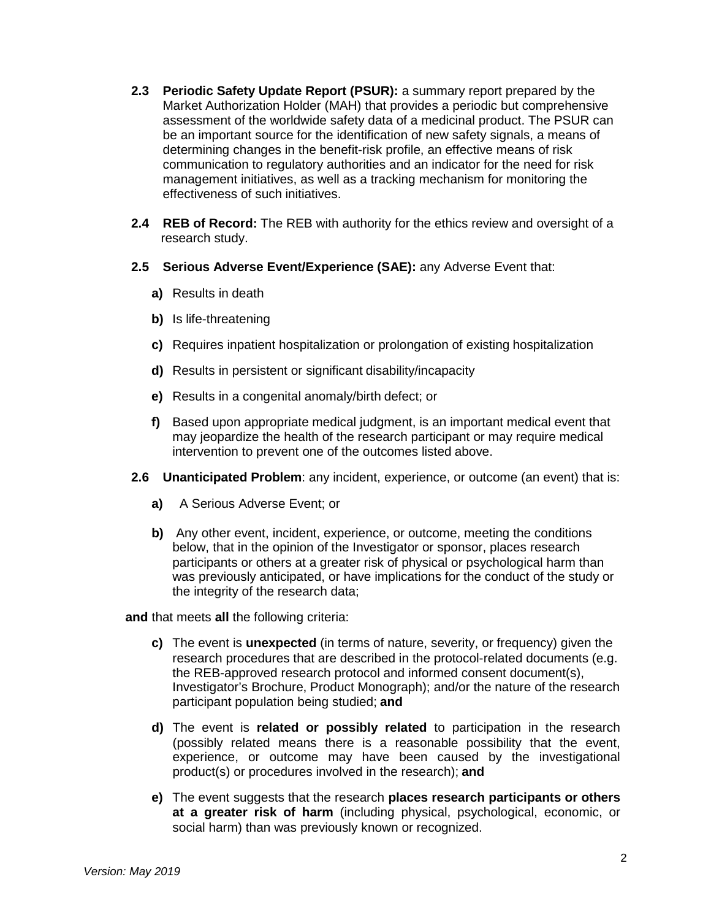- **2.3 Periodic Safety Update Report (PSUR):** a summary report prepared by the Market Authorization Holder (MAH) that provides a periodic but comprehensive assessment of the worldwide safety data of a medicinal product. The PSUR can be an important source for the identification of new safety signals, a means of determining changes in the benefit-risk profile, an effective means of risk communication to regulatory authorities and an indicator for the need for risk management initiatives, as well as a tracking mechanism for monitoring the effectiveness of such initiatives.
- **2.4 REB of Record:** The REB with authority for the ethics review and oversight of a research study.
- **2.5 Serious Adverse Event/Experience (SAE):** any Adverse Event that:
	- **a)** Results in death
	- **b)** Is life-threatening
	- **c)** Requires inpatient hospitalization or prolongation of existing hospitalization
	- **d)** Results in persistent or significant disability/incapacity
	- **e)** Results in a congenital anomaly/birth defect; or
	- **f)** Based upon appropriate medical judgment, is an important medical event that may jeopardize the health of the research participant or may require medical intervention to prevent one of the outcomes listed above.
- **2.6 Unanticipated Problem**: any incident, experience, or outcome (an event) that is:
	- **a)** A Serious Adverse Event; or
	- **b)** Any other event, incident, experience, or outcome, meeting the conditions below, that in the opinion of the Investigator or sponsor, places research participants or others at a greater risk of physical or psychological harm than was previously anticipated, or have implications for the conduct of the study or the integrity of the research data;

**and** that meets **all** the following criteria:

- **c)** The event is **unexpected** (in terms of nature, severity, or frequency) given the research procedures that are described in the protocol-related documents (e.g. the REB-approved research protocol and informed consent document(s), Investigator's Brochure, Product Monograph); and/or the nature of the research participant population being studied; **and**
- **d)** The event is **related or possibly related** to participation in the research (possibly related means there is a reasonable possibility that the event, experience, or outcome may have been caused by the investigational product(s) or procedures involved in the research); **and**
- **e)** The event suggests that the research **places research participants or others at a greater risk of harm** (including physical, psychological, economic, or social harm) than was previously known or recognized.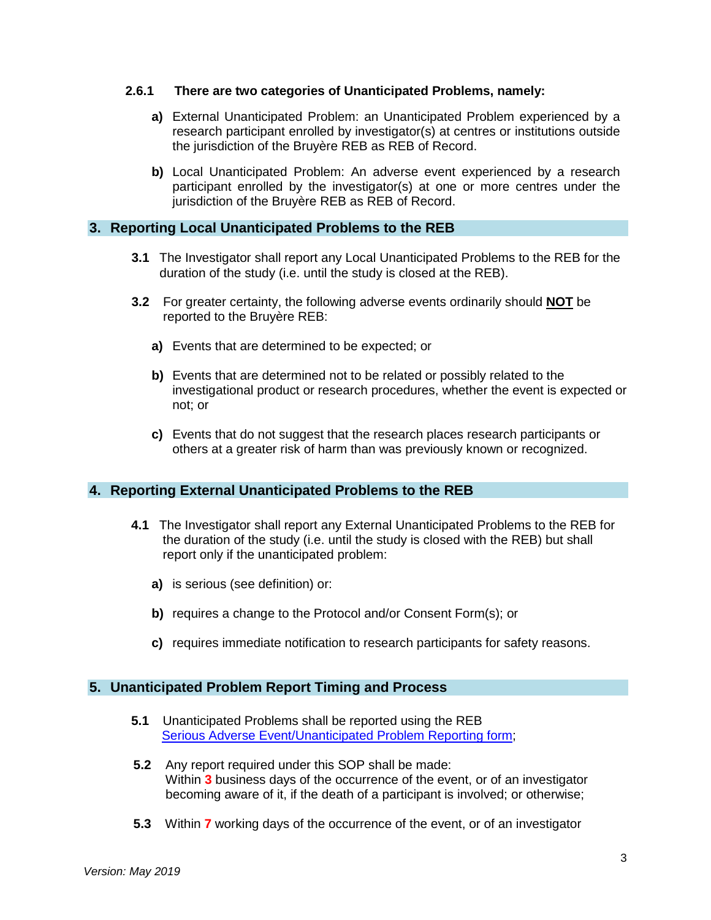#### **2.6.1 There are two categories of Unanticipated Problems, namely:**

- **a)** External Unanticipated Problem: an Unanticipated Problem experienced by a research participant enrolled by investigator(s) at centres or institutions outside the jurisdiction of the Bruyère REB as REB of Record.
- **b)** Local Unanticipated Problem: An adverse event experienced by a research participant enrolled by the investigator(s) at one or more centres under the jurisdiction of the Bruyère REB as REB of Record.

## **3. Reporting Local Unanticipated Problems to the REB**

- **3.1** The Investigator shall report any Local Unanticipated Problems to the REB for the duration of the study (i.e. until the study is closed at the REB).
- **3.2** For greater certainty, the following adverse events ordinarily should **NOT** be reported to the Bruyère REB:
	- **a)** Events that are determined to be expected; or
	- **b)** Events that are determined not to be related or possibly related to the investigational product or research procedures, whether the event is expected or not; or
	- **c)** Events that do not suggest that the research places research participants or others at a greater risk of harm than was previously known or recognized.

## **4. Reporting External Unanticipated Problems to the REB**

- **4.1** The Investigator shall report any External Unanticipated Problems to the REB for the duration of the study (i.e. until the study is closed with the REB) but shall report only if the unanticipated problem:
	- **a)** is serious (see definition) or:
	- **b)** requires a change to the Protocol and/or Consent Form(s); or
	- **c)** requires immediate notification to research participants for safety reasons.

## **5. Unanticipated Problem Report Timing and Process**

- **5.1** Unanticipated Problems shall be reported using the REB [Serious Adverse Event/Unanticipated Problem Reporting form;](https://www.bruyere.org/en/researchethicsboard)
- **5.2** Any report required under this SOP shall be made: Within **3** business days of the occurrence of the event, or of an investigator becoming aware of it, if the death of a participant is involved; or otherwise;
- **5.3** Within **7** working days of the occurrence of the event, or of an investigator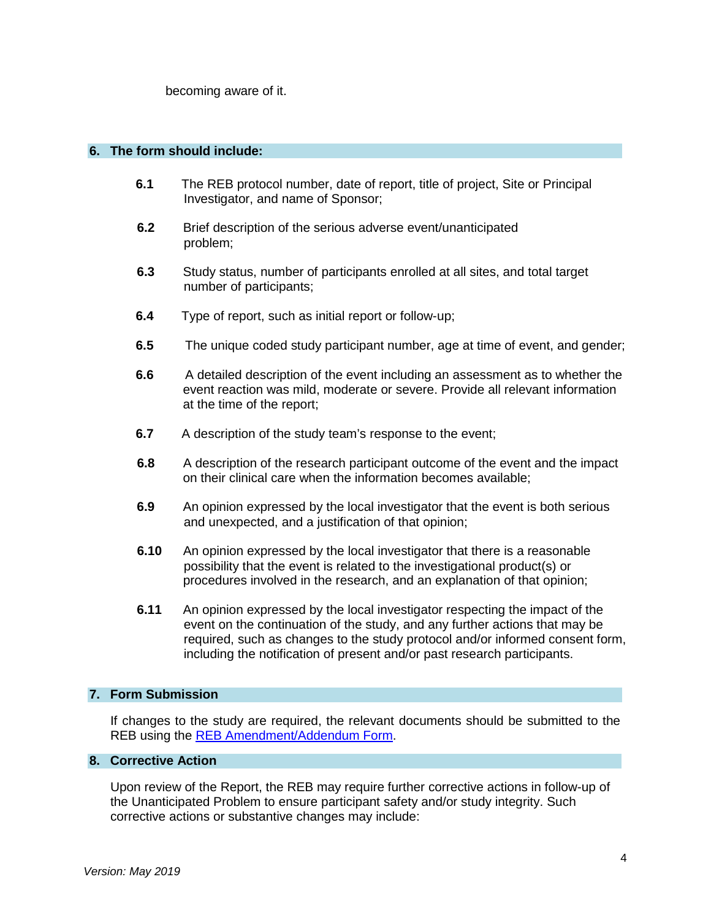becoming aware of it.

#### **6. The form should include:**

- **6.1** The REB protocol number, date of report, title of project, Site or Principal Investigator, and name of Sponsor;
- **6.2** Brief description of the serious adverse event/unanticipated problem;
- **6.3** Study status, number of participants enrolled at all sites, and total target number of participants;
- **6.4** Type of report, such as initial report or follow-up;
- **6.5** The unique coded study participant number, age at time of event, and gender;
- **6.6** A detailed description of the event including an assessment as to whether the event reaction was mild, moderate or severe. Provide all relevant information at the time of the report;
- **6.7** A description of the study team's response to the event;
- **6.8** A description of the research participant outcome of the event and the impact on their clinical care when the information becomes available;
- **6.9** An opinion expressed by the local investigator that the event is both serious and unexpected, and a justification of that opinion;
- **6.10** An opinion expressed by the local investigator that there is a reasonable possibility that the event is related to the investigational product(s) or procedures involved in the research, and an explanation of that opinion;
- **6.11** An opinion expressed by the local investigator respecting the impact of the event on the continuation of the study, and any further actions that may be required, such as changes to the study protocol and/or informed consent form, including the notification of present and/or past research participants.

#### **7. Form Submission**

If changes to the study are required, the relevant documents should be submitted to the REB using the [REB Amendment/Addendum Form.](https://www.bruyere.org/en/researchethicsboard)

#### **8. Corrective Action**

Upon review of the Report, the REB may require further corrective actions in follow-up of the Unanticipated Problem to ensure participant safety and/or study integrity. Such corrective actions or substantive changes may include: